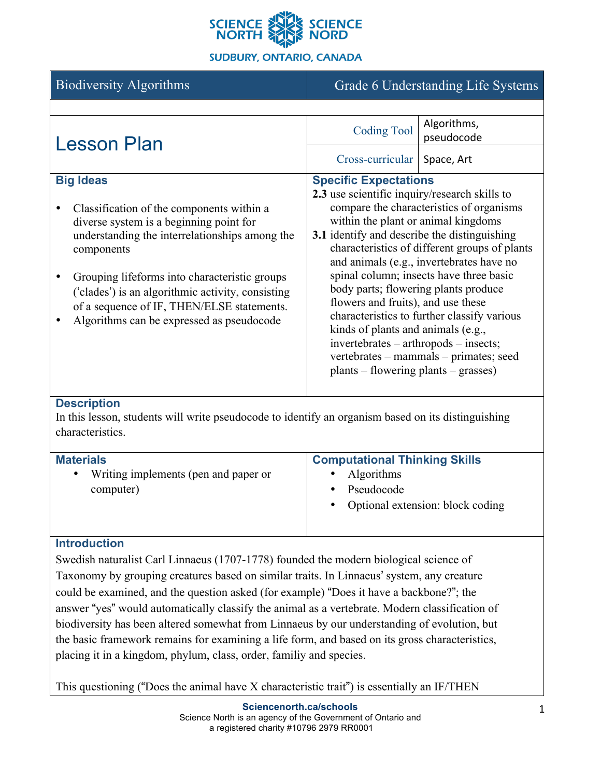

### **SUDBURY, ONTARIO, CANADA**

| <b>Biodiversity Algorithms</b>                                                                                                                                                                                                                                                                                                                                                                                   | Grade 6 Understanding Life Systems                                                                                                                                                                                                                                                                                                                                                                                                                                                                                                                                                                                                                     |                           |
|------------------------------------------------------------------------------------------------------------------------------------------------------------------------------------------------------------------------------------------------------------------------------------------------------------------------------------------------------------------------------------------------------------------|--------------------------------------------------------------------------------------------------------------------------------------------------------------------------------------------------------------------------------------------------------------------------------------------------------------------------------------------------------------------------------------------------------------------------------------------------------------------------------------------------------------------------------------------------------------------------------------------------------------------------------------------------------|---------------------------|
|                                                                                                                                                                                                                                                                                                                                                                                                                  |                                                                                                                                                                                                                                                                                                                                                                                                                                                                                                                                                                                                                                                        |                           |
| <b>Lesson Plan</b>                                                                                                                                                                                                                                                                                                                                                                                               | <b>Coding Tool</b>                                                                                                                                                                                                                                                                                                                                                                                                                                                                                                                                                                                                                                     | Algorithms,<br>pseudocode |
|                                                                                                                                                                                                                                                                                                                                                                                                                  | Cross-curricular                                                                                                                                                                                                                                                                                                                                                                                                                                                                                                                                                                                                                                       | Space, Art                |
| <b>Big Ideas</b><br>Classification of the components within a<br>$\bullet$<br>diverse system is a beginning point for<br>understanding the interrelationships among the<br>components<br>Grouping lifeforms into characteristic groups<br>$\bullet$<br>('clades') is an algorithmic activity, consisting<br>of a sequence of IF, THEN/ELSE statements.<br>Algorithms can be expressed as pseudocode<br>$\bullet$ | <b>Specific Expectations</b><br>2.3 use scientific inquiry/research skills to<br>compare the characteristics of organisms<br>within the plant or animal kingdoms<br>3.1 identify and describe the distinguishing<br>characteristics of different groups of plants<br>and animals (e.g., invertebrates have no<br>spinal column; insects have three basic<br>body parts; flowering plants produce<br>flowers and fruits), and use these<br>characteristics to further classify various<br>kinds of plants and animals (e.g.,<br>invertebrates – arthropods – insects;<br>vertebrates - mammals - primates; seed<br>plants – flowering plants – grasses) |                           |
| <b>Description</b><br>In this lesson, students will write pseudocode to identify an organism based on its distinguishing<br>characteristics.                                                                                                                                                                                                                                                                     |                                                                                                                                                                                                                                                                                                                                                                                                                                                                                                                                                                                                                                                        |                           |
| <b>Materials</b><br>Writing implements (pen and paper or<br>computer)                                                                                                                                                                                                                                                                                                                                            | <b>Computational Thinking Skills</b><br>Algorithms<br>Pseudocode<br>Optional extension: block coding                                                                                                                                                                                                                                                                                                                                                                                                                                                                                                                                                   |                           |
| <b>Introduction</b><br>Swedish naturalist Carl Linnaeus (1707-1778) founded the modern biological science of<br>Taxonomy by grouping creatures based on similar traits. In Linnaeus' system, any creature<br>could be examined, and the question asked (for example) "Does it have a backbone?"; the                                                                                                             |                                                                                                                                                                                                                                                                                                                                                                                                                                                                                                                                                                                                                                                        |                           |

answer "yes" would automatically classify the animal as a vertebrate. Modern classification of biodiversity has been altered somewhat from Linnaeus by our understanding of evolution, but the basic framework remains for examining a life form, and based on its gross characteristics, placing it in a kingdom, phylum, class, order, familiy and species.

This questioning ("Does the animal have X characteristic trait") is essentially an IF/THEN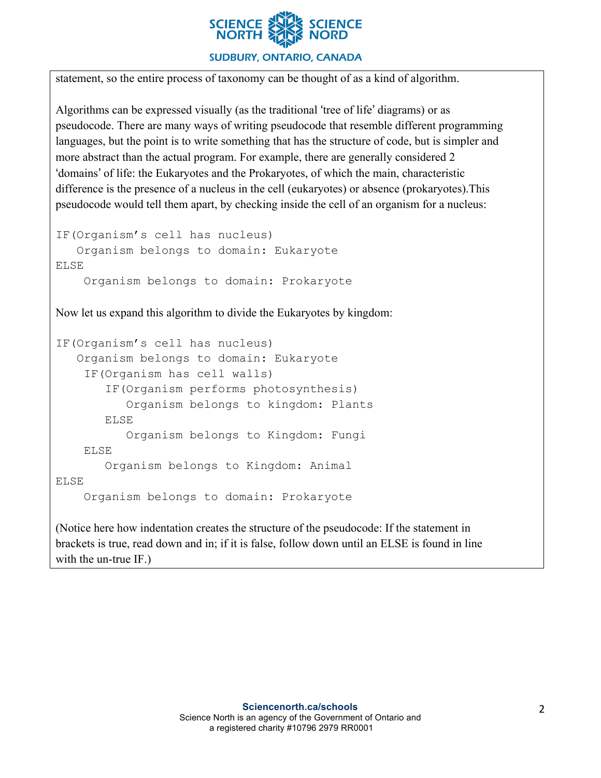

#### **SUDBURY, ONTARIO, CANADA**

statement, so the entire process of taxonomy can be thought of as a kind of algorithm.

Algorithms can be expressed visually (as the traditional 'tree of life' diagrams) or as pseudocode. There are many ways of writing pseudocode that resemble different programming languages, but the point is to write something that has the structure of code, but is simpler and more abstract than the actual program. For example, there are generally considered 2 'domains' of life: the Eukaryotes and the Prokaryotes, of which the main, characteristic difference is the presence of a nucleus in the cell (eukaryotes) or absence (prokaryotes).This pseudocode would tell them apart, by checking inside the cell of an organism for a nucleus:

```
IF(Organism's cell has nucleus)
    Organism belongs to domain: Eukaryote
ELSE
     Organism belongs to domain: Prokaryote
```
Now let us expand this algorithm to divide the Eukaryotes by kingdom:

```
IF(Organism's cell has nucleus)
    Organism belongs to domain: Eukaryote
     IF(Organism has cell walls)
        IF(Organism performs photosynthesis)
           Organism belongs to kingdom: Plants
        ELSE
           Organism belongs to Kingdom: Fungi
     ELSE
        Organism belongs to Kingdom: Animal
ELSE
     Organism belongs to domain: Prokaryote
```
(Notice here how indentation creates the structure of the pseudocode: If the statement in brackets is true, read down and in; if it is false, follow down until an ELSE is found in line with the un-true IF.)